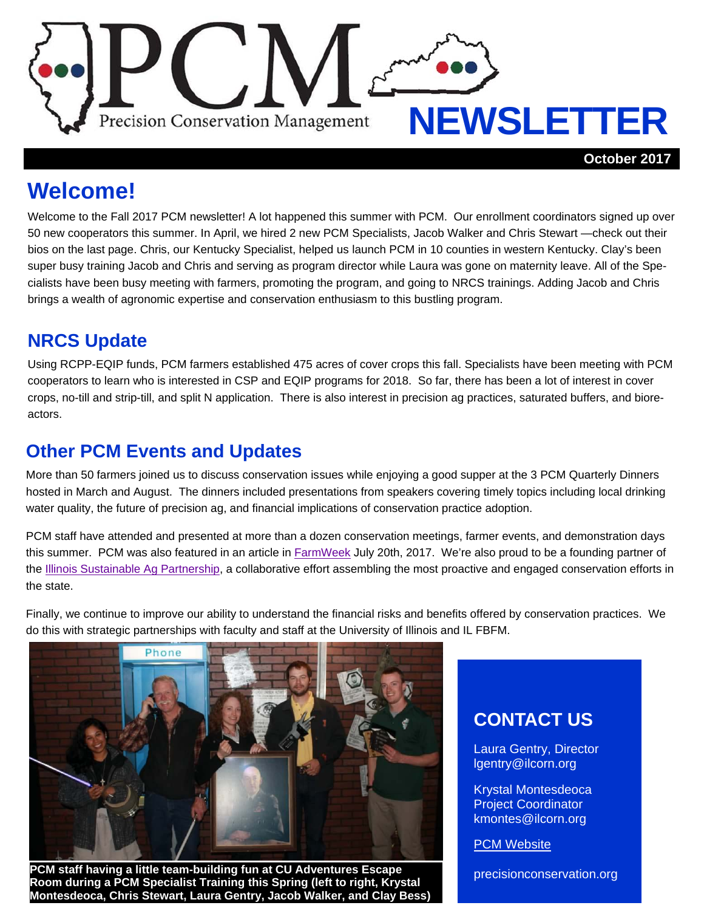

**Welcome!** 

Welcome to the Fall 2017 PCM newsletter! A lot happened this summer with PCM. Our enrollment coordinators signed up over 50 new cooperators this summer. In April, we hired 2 new PCM Specialists, Jacob Walker and Chris Stewart —check out their bios on the last page. Chris, our Kentucky Specialist, helped us launch PCM in 10 counties in western Kentucky. Clay's been super busy training Jacob and Chris and serving as program director while Laura was gone on maternity leave. All of the Specialists have been busy meeting with farmers, promoting the program, and going to NRCS trainings. Adding Jacob and Chris brings a wealth of agronomic expertise and conservation enthusiasm to this bustling program.

# **NRCS Update**

Using RCPP-EQIP funds, PCM farmers established 475 acres of cover crops this fall. Specialists have been meeting with PCM cooperators to learn who is interested in CSP and EQIP programs for 2018. So far, there has been a lot of interest in cover crops, no-till and strip-till, and split N application. There is also interest in precision ag practices, saturated buffers, and bioreactors.

#### **Other PCM Events and Updates**

More than 50 farmers joined us to discuss conservation issues while enjoying a good supper at the 3 PCM Quarterly Dinners hosted in March and August. The dinners included presentations from speakers covering timely topics including local drinking water quality, the future of precision ag, and financial implications of conservation practice adoption.

PCM staff have attended and presented at more than a dozen conservation meetings, farmer events, and demonstration days this summer. PCM was also featured in an article in FarmWeek July 20th, 2017. We're also proud to be a founding partner of the Illinois Sustainable Ag Partnership, a collaborative effort assembling the most proactive and engaged conservation efforts in the state.

Finally, we continue to improve our ability to understand the financial risks and benefits offered by conservation practices. We do this with strategic partnerships with faculty and staff at the University of Illinois and IL FBFM.



**PCM staff having a little team-building fun at CU Adventures Escape** *precisionconservation.org* **Room during a PCM Specialist Training this Spring (left to right, Krystal Montesdeoca, Chris Stewart, Laura Gentry, Jacob Walker, and Clay Bess)** 

#### **CONTACT US**

Laura Gentry, Director lgentry@ilcorn.org

Krystal Montesdeoca Project Coordinator kmontes@ilcorn.org

**PCM Website**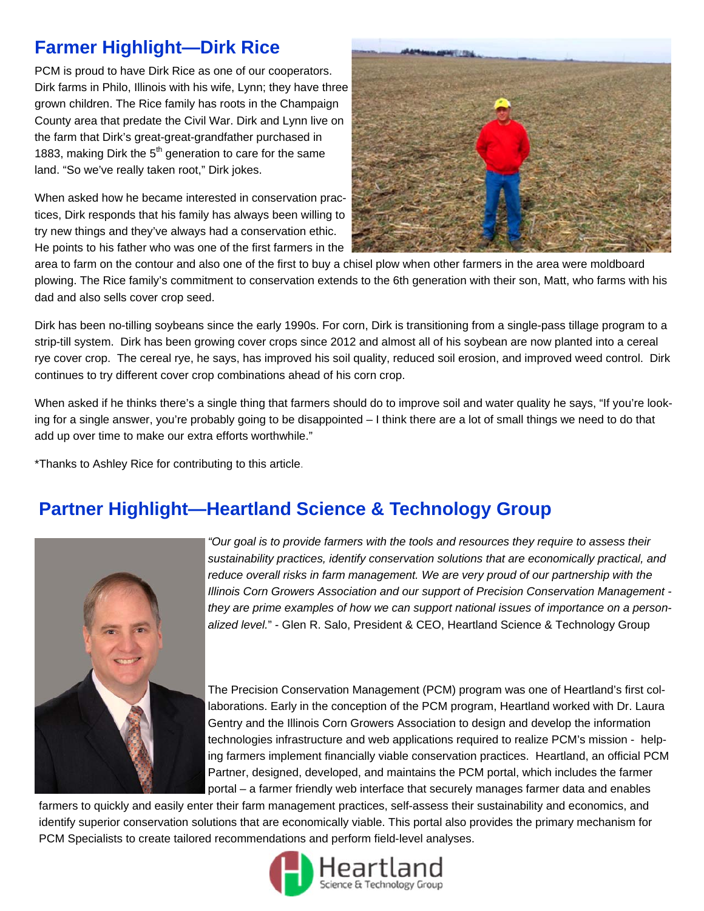## **Farmer Highlight—Dirk Rice**

PCM is proud to have Dirk Rice as one of our cooperators. Dirk farms in Philo, Illinois with his wife, Lynn; they have three grown children. The Rice family has roots in the Champaign County area that predate the Civil War. Dirk and Lynn live on the farm that Dirk's great-great-grandfather purchased in 1883, making Dirk the  $5<sup>th</sup>$  generation to care for the same land. "So we've really taken root," Dirk jokes.

When asked how he became interested in conservation practices, Dirk responds that his family has always been willing to try new things and they've always had a conservation ethic. He points to his father who was one of the first farmers in the



area to farm on the contour and also one of the first to buy a chisel plow when other farmers in the area were moldboard plowing. The Rice family's commitment to conservation extends to the 6th generation with their son, Matt, who farms with his dad and also sells cover crop seed.

Dirk has been no-tilling soybeans since the early 1990s. For corn, Dirk is transitioning from a single-pass tillage program to a strip-till system. Dirk has been growing cover crops since 2012 and almost all of his soybean are now planted into a cereal rye cover crop. The cereal rye, he says, has improved his soil quality, reduced soil erosion, and improved weed control. Dirk continues to try different cover crop combinations ahead of his corn crop.

When asked if he thinks there's a single thing that farmers should do to improve soil and water quality he says, "If you're looking for a single answer, you're probably going to be disappointed – I think there are a lot of small things we need to do that add up over time to make our extra efforts worthwhile."

\*Thanks to Ashley Rice for contributing to this article.

# **Partner Highlight—Heartland Science & Technology Group**



*"Our goal is to provide farmers with the tools and resources they require to assess their sustainability practices, identify conservation solutions that are economically practical, and reduce overall risks in farm management. We are very proud of our partnership with the Illinois Corn Growers Association and our support of Precision Conservation Management they are prime examples of how we can support national issues of importance on a personalized level.*" - Glen R. Salo, President & CEO, Heartland Science & Technology Group

The Precision Conservation Management (PCM) program was one of Heartland's first collaborations. Early in the conception of the PCM program, Heartland worked with Dr. Laura Gentry and the Illinois Corn Growers Association to design and develop the information technologies infrastructure and web applications required to realize PCM's mission - helping farmers implement financially viable conservation practices. Heartland, an official PCM Partner, designed, developed, and maintains the PCM portal, which includes the farmer portal – a farmer friendly web interface that securely manages farmer data and enables

farmers to quickly and easily enter their farm management practices, self-assess their sustainability and economics, and identify superior conservation solutions that are economically viable. This portal also provides the primary mechanism for PCM Specialists to create tailored recommendations and perform field-level analyses.